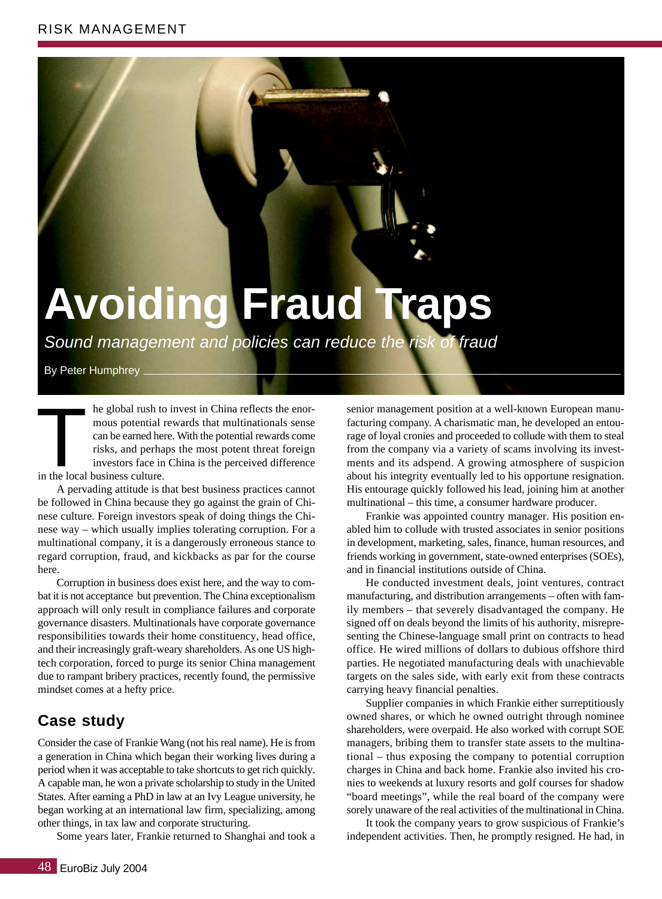## **Avoiding Fraud Traps**

Sound management and policies can reduce the risk of fraud

By Peter Humphrey \_

he global rush to invest in China reflects the enormous potential rewards that multinationals sense can be earned here. With the potential rewards come risks, and perhaps the most potent threat foreign investors face in China is the perceived difference In the global rush to<br>
mous potential<br>
can be earned he<br>
risks, and perha<br>
investors face in<br>
in the local business culture.

A pervading attitude is that best business practices cannot be followed in China because they go against the grain of Chinese culture. Foreign investors speak of doing things the Chinese way – which usually implies tolerating corruption. For a multinational company, it is a dangerously erroneous stance to regard corruption, fraud, and kickbacks as par for the course here.

Corruption in business does exist here, and the way to combat it is not acceptance but prevention. The China exceptionalism approach will only result in compliance failures and corporate governance disasters. Multinationals have corporate governance responsibilities towards their home constituency, head office, and their increasingly graft-weary shareholders. As one US hightech corporation, forced to purge its senior China management due to rampant bribery practices, recently found, the permissive mindset comes at a hefty price.

## **Case study**

Consider the case of Frankie Wang (not his real name). He is from a generation in China which began their working lives during a period when it was acceptable to take shortcuts to get rich quickly. A capable man, he won a private scholarship to study in the United States. After earning a PhD in law at an Ivy League university, he began working at an international law firm, specializing, among other things, in tax law and corporate structuring.

Some years later, Frankie returned to Shanghai and took a

senior management position at a well-known European manufacturing company. A charismatic man, he developed an entourage of loyal cronies and proceeded to collude with them to steal from the company via a variety of scams involving its investments and its adspend. A growing atmosphere of suspicion about his integrity eventually led to his opportune resignation. His entourage quickly followed his lead, joining him at another multinational – this time, a consumer hardware producer.

Frankie was appointed country manager. His position enabled him to collude with trusted associates in senior positions in development, marketing, sales, finance, human resources, and friends working in government, state-owned enterprises (SOEs), and in financial institutions outside of China.

He conducted investment deals, joint ventures, contract manufacturing, and distribution arrangements – often with family members – that severely disadvantaged the company. He signed off on deals beyond the limits of his authority, misrepresenting the Chinese-language small print on contracts to head office. He wired millions of dollars to dubious offshore third parties. He negotiated manufacturing deals with unachievable targets on the sales side, with early exit from these contracts carrying heavy financial penalties.

Supplier companies in which Frankie either surreptitiously owned shares, or which he owned outright through nominee shareholders, were overpaid. He also worked with corrupt SOE managers, bribing them to transfer state assets to the multinational – thus exposing the company to potential corruption charges in China and back home. Frankie also invited his cronies to weekends at luxury resorts and golf courses for shadow "board meetings", while the real board of the company were sorely unaware of the real activities of the multinational in China.

It took the company years to grow suspicious of Frankie's independent activities. Then, he promptly resigned. He had, in